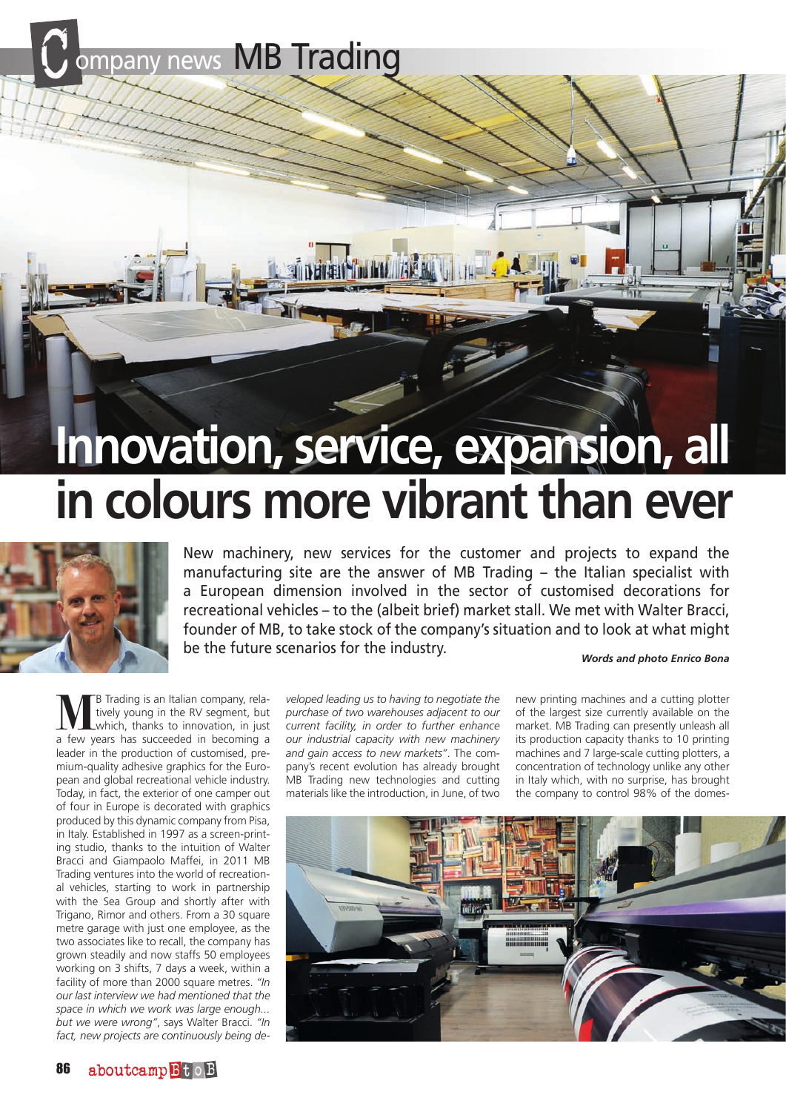ompany news MB Trading

## **Innovation, service, expansion, all in colours more vibrant than ever**



New machinery, new services for the customer and projects to expand the manufacturing site are the answer of MB Trading – the Italian specialist with a European dimension involved in the sector of customised decorations for recreational vehicles – to the (albeit brief) market stall. We met with Walter Bracci, founder of MB, to take stock of the company's situation and to look at what might be the future scenarios for the industry.

*Words and photo Enrico Bona*

**B** Trading is an Italian company, relatively young in the RV segment, but which, thanks to innovation, in just a few years has succeeded in becoming a leader in the production of customised, premium-quality adhesive graphics for the European and global recreational vehicle industry. Today, in fact, the exterior of one camper out of four in Europe is decorated with graphics produced by this dynamic company from Pisa, in Italy. Established in 1997 as a screen-printing studio, thanks to the intuition of Walter Bracci and Giampaolo Maffei, in 2011 MB Trading ventures into the world of recreational vehicles, starting to work in partnership with the Sea Group and shortly after with Trigano, Rimor and others. From a 30 square metre garage with just one employee, as the two associates like to recall, the company has grown steadily and now staffs 50 employees working on 3 shifts, 7 days a week, within a facility of more than 2000 square metres. *"In our last interview we had mentioned that the space in which we work was large enough... but we were wrong"*, says Walter Bracci. *"In fact, new projects are continuously being de-* *veloped leading us to having to negotiate the purchase of two warehouses adjacent to our current facility, in order to further enhance our industrial capacity with new machinery and gain access to new markets"*. The company's recent evolution has already brought MB Trading new technologies and cutting materials like the introduction, in June, of two

new printing machines and a cutting plotter of the largest size currently available on the market. MB Trading can presently unleash all its production capacity thanks to 10 printing machines and 7 large-scale cutting plotters, a concentration of technology unlike any other in Italy which, with no surprise, has brought the company to control 98% of the domes-